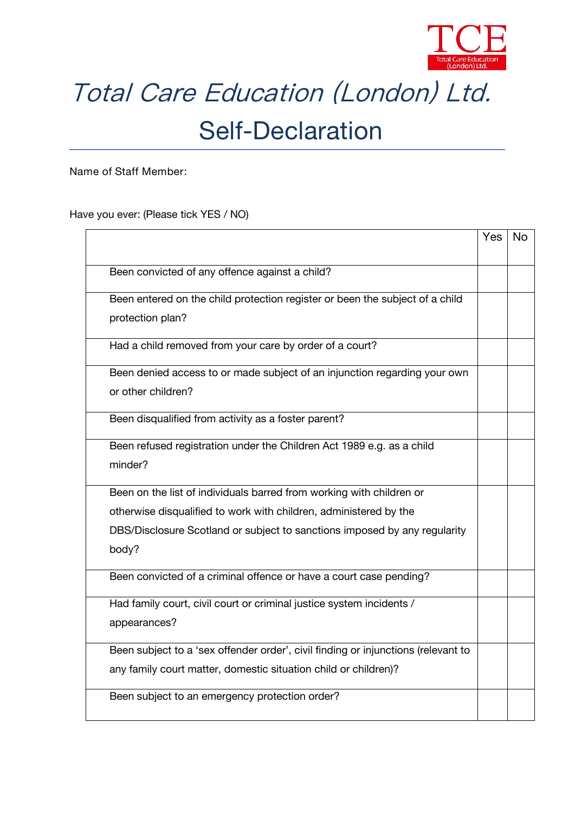

## Total Care Education (London) Ltd.

## Self-Declaration

**Name of Staff Member:**

Have you ever: (Please tick YES / NO)

|                                                                                   | Yes | <b>No</b> |
|-----------------------------------------------------------------------------------|-----|-----------|
| Been convicted of any offence against a child?                                    |     |           |
| Been entered on the child protection register or been the subject of a child      |     |           |
| protection plan?                                                                  |     |           |
| Had a child removed from your care by order of a court?                           |     |           |
| Been denied access to or made subject of an injunction regarding your own         |     |           |
| or other children?                                                                |     |           |
| Been disqualified from activity as a foster parent?                               |     |           |
| Been refused registration under the Children Act 1989 e.g. as a child             |     |           |
| minder?                                                                           |     |           |
| Been on the list of individuals barred from working with children or              |     |           |
| otherwise disqualified to work with children, administered by the                 |     |           |
| DBS/Disclosure Scotland or subject to sanctions imposed by any regularity         |     |           |
| body?                                                                             |     |           |
| Been convicted of a criminal offence or have a court case pending?                |     |           |
| Had family court, civil court or criminal justice system incidents /              |     |           |
| appearances?                                                                      |     |           |
| Been subject to a 'sex offender order', civil finding or injunctions (relevant to |     |           |
| any family court matter, domestic situation child or children)?                   |     |           |
| Been subject to an emergency protection order?                                    |     |           |
|                                                                                   |     |           |